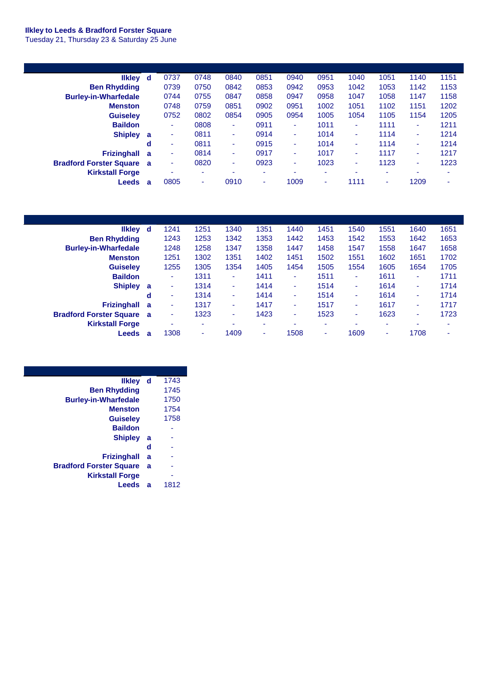## **Ilkley to Leeds & Bradford Forster Square**

Tuesday 21, Thursday 23 & Saturday 25 June

| likley d                         |   | 0737 | 0748 | 0840 | 0851 | 0940 | 0951 | 1040 | 1051 | 1140 | 1151 |
|----------------------------------|---|------|------|------|------|------|------|------|------|------|------|
| <b>Ben Rhydding</b>              |   | 0739 | 0750 | 0842 | 0853 | 0942 | 0953 | 1042 | 1053 | 1142 | 1153 |
| <b>Burley-in-Wharfedale</b>      |   | 0744 | 0755 | 0847 | 0858 | 0947 | 0958 | 1047 | 1058 | 1147 | 1158 |
| <b>Menston</b>                   |   | 0748 | 0759 | 0851 | 0902 | 0951 | 1002 | 1051 | 1102 | 1151 | 1202 |
| <b>Guiselev</b>                  |   | 0752 | 0802 | 0854 | 0905 | 0954 | 1005 | 1054 | 1105 | 1154 | 1205 |
| <b>Baildon</b>                   |   | ۰    | 0808 | ٠    | 0911 | ٠    | 1011 | ٠    | 1111 | ٠    | 1211 |
| Shipley a                        |   | ٠    | 0811 | ۰.   | 0914 | ٠    | 1014 | ٠    | 1114 | ٠    | 1214 |
|                                  | d | ٠    | 0811 | ٠    | 0915 | ٠    | 1014 | ۰    | 1114 | ٠    | 1214 |
| Frizinghall a                    |   | ٠    | 0814 | ۰    | 0917 | ٠    | 1017 | ٠    | 1117 | ٠    | 1217 |
| <b>Bradford Forster Square a</b> |   | ٠    | 0820 | ٠    | 0923 | ۰    | 1023 | ٠    | 1123 | ٠    | 1223 |
| <b>Kirkstall Forge</b>           |   | ۰    | ۰    | ۰    |      |      | ۰    | ۰    |      | ۰    | ۰    |
| <b>Leeds</b>                     | a | 0805 | ۰    | 0910 | ۰    | 1009 | ۰    | 1111 | ٠    | 1209 | ۰    |

| likley d                         |   | 1241 | 1251                     | 1340 | 1351 | 1440 | 1451                     | 1540 | 1551 | 1640 | 1651 |
|----------------------------------|---|------|--------------------------|------|------|------|--------------------------|------|------|------|------|
| <b>Ben Rhydding</b>              |   | 1243 | 1253                     | 1342 | 1353 | 1442 | 1453                     | 1542 | 1553 | 1642 | 1653 |
| <b>Burley-in-Wharfedale</b>      |   | 1248 | 1258                     | 1347 | 1358 | 1447 | 1458                     | 1547 | 1558 | 1647 | 1658 |
| <b>Menston</b>                   |   | 1251 | 1302                     | 1351 | 1402 | 1451 | 1502                     | 1551 | 1602 | 1651 | 1702 |
| <b>Guiselev</b>                  |   | 1255 | 1305                     | 1354 | 1405 | 1454 | 1505                     | 1554 | 1605 | 1654 | 1705 |
| <b>Baildon</b>                   |   |      | 1311                     | ÷    | 1411 | ۰    | 1511                     | ٠    | 1611 | ۰    | 1711 |
| <b>Shipley</b>                   | a | ٠    | 1314                     | ٠    | 1414 | ۰    | 1514                     | ٠    | 1614 | ۰    | 1714 |
|                                  | d | ٠    | 1314                     | ÷    | 1414 | ٠    | 1514                     | ٠    | 1614 | ٠    | 1714 |
| <b>Frizinghall</b>               | a | ۰    | 1317                     | ۰    | 1417 | ۰    | 1517                     | ٠    | 1617 | ۰    | 1717 |
| <b>Bradford Forster Square</b> a |   | ٠    | 1323                     | ۰    | 1423 | ۰    | 1523                     | ٠    | 1623 | ٠    | 1723 |
| <b>Kirkstall Forge</b>           |   | ٠    | $\overline{\phantom{a}}$ | ۰    | ۰    | ۰    | $\overline{\phantom{a}}$ | ۰    | ۰    | ۰    |      |
| Leeds                            | a | 1308 | $\sim$                   | 1409 | ۰    | 1508 | $\overline{\phantom{a}}$ | 1609 | ٠    | 1708 |      |

| <b>Ilkley</b>                  | d | 1743 |
|--------------------------------|---|------|
| <b>Ben Rhydding</b>            |   | 1745 |
| <b>Burley-in-Wharfedale</b>    |   | 1750 |
| <b>Menston</b>                 |   | 1754 |
| <b>Guiseley</b>                |   | 1758 |
| <b>Baildon</b>                 |   |      |
| <b>Shipley</b>                 | a |      |
|                                | d |      |
| <b>Frizinghall</b>             | a |      |
| <b>Bradford Forster Square</b> | a |      |
| <b>Kirkstall Forge</b>         |   |      |
| Leeds                          | a | 1812 |
|                                |   |      |